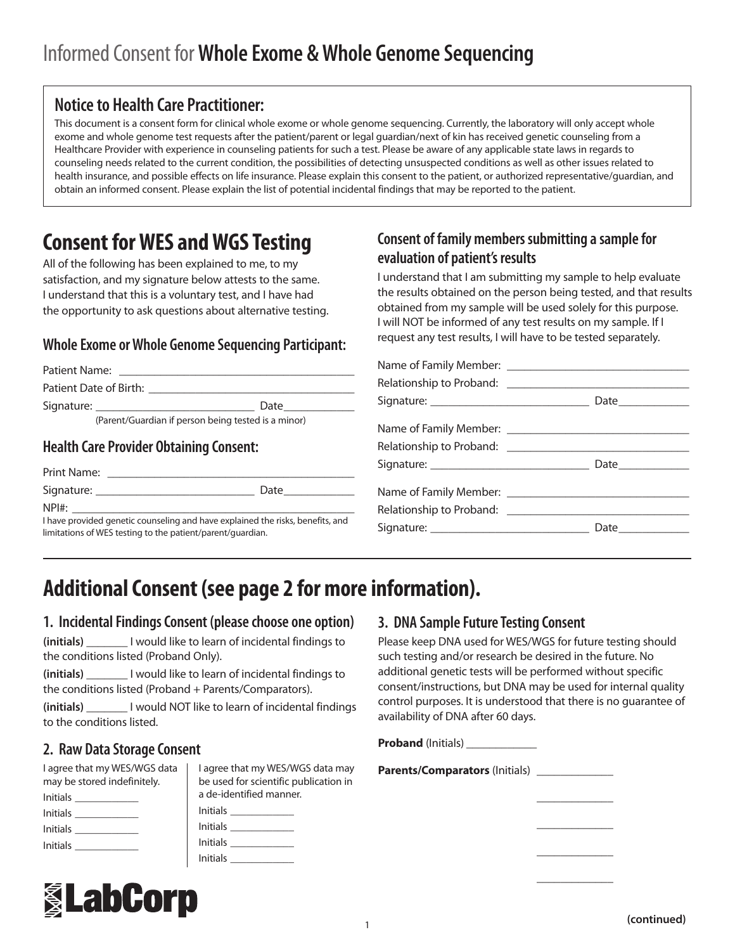## **Notice to Health Care Practitioner:**

This document is a consent form for clinical whole exome or whole genome sequencing. Currently, the laboratory will only accept whole exome and whole genome test requests after the patient/parent or legal guardian/next of kin has received genetic counseling from a Healthcare Provider with experience in counseling patients for such a test. Please be aware of any applicable state laws in regards to counseling needs related to the current condition, the possibilities of detecting unsuspected conditions as well as other issues related to health insurance, and possible effects on life insurance. Please explain this consent to the patient, or authorized representative/guardian, and obtain an informed consent. Please explain the list of potential incidental findings that may be reported to the patient.

## **Consent for WES and WGS Testing**

All of the following has been explained to me, to my satisfaction, and my signature below attests to the same. I understand that this is a voluntary test, and I have had the opportunity to ask questions about alternative testing.

## **Whole Exome or Whole Genome Sequencing Participant:**

| Patient Name: ______________                                                                                                                        |  |  |
|-----------------------------------------------------------------------------------------------------------------------------------------------------|--|--|
| Patient Date of Birth: 2008 2010 2010 2010 2010 2011 2012 2013 2014 2016 2017 2018 2019 2019 2019 2019 2019 20                                      |  |  |
|                                                                                                                                                     |  |  |
| (Parent/Guardian if person being tested is a minor)                                                                                                 |  |  |
| $\mathbf{H}$ of $\mathbf{H}$ , $\mathbf{C}$ and $\mathbf{D}$ and $\mathbf{H}$ and $\mathbf{D}$ is the $\mathbf{C}$ of $\mathbf{C}$ and $\mathbf{C}$ |  |  |

## **Health Care Provider Obtaining Consent:**

| Print Name:                                                                    |      |
|--------------------------------------------------------------------------------|------|
| Signature:                                                                     | Date |
| NPH:                                                                           |      |
| I have provided genetic counseling and have explained the risks, benefits, and |      |

limitations of WES testing to the patient/parent/guardian.

## **Consent of family members submitting a sample for evaluation of patient's results**

I understand that I am submitting my sample to help evaluate the results obtained on the person being tested, and that results obtained from my sample will be used solely for this purpose. I will NOT be informed of any test results on my sample. If I request any test results, I will have to be tested separately.

| Signature: _________________________________ |  |
|----------------------------------------------|--|

# **Additional Consent (see page 2 for more information).**

## **1. Incidental Findings Consent (please choose one option)**

**(initials)** \_\_\_\_\_\_\_ I would like to learn of incidental findings to the conditions listed (Proband Only).

**(initials)** \_\_\_\_\_\_\_ I would like to learn of incidental findings to the conditions listed (Proband + Parents/Comparators).

**(initials)** \_\_\_\_\_\_\_ I would NOT like to learn of incidental findings to the conditions listed.

## **2. Raw Data Storage Consent**

| I agree that my WES/WGS data | I agree that my WES/WGS data may      |
|------------------------------|---------------------------------------|
| may be stored indefinitely.  | be used for scientific publication in |
|                              | a de-identified manner.               |
| <u>Initials</u>              |                                       |
| <b>Initials</b>              |                                       |
|                              | Initials <b>Allenger Community</b>    |
|                              |                                       |



## **3. DNA Sample Future Testing Consent**

Please keep DNA used for WES/WGS for future testing should such testing and/or research be desired in the future. No additional genetic tests will be performed without specific consent/instructions, but DNA may be used for internal quality control purposes. It is understood that there is no guarantee of availability of DNA after 60 days.

 $\overline{\phantom{a}}$  , where  $\overline{\phantom{a}}$ 

 $\overline{\phantom{a}}$  , where  $\overline{\phantom{a}}$ 

 $\overline{\phantom{a}}$  , where  $\overline{\phantom{a}}$ 

 $\overline{\phantom{a}}$  , where  $\overline{\phantom{a}}$ 

**Proband** (Initials)

**Parents/Comparators** (Initials) \_\_\_\_\_\_\_\_\_\_\_\_\_